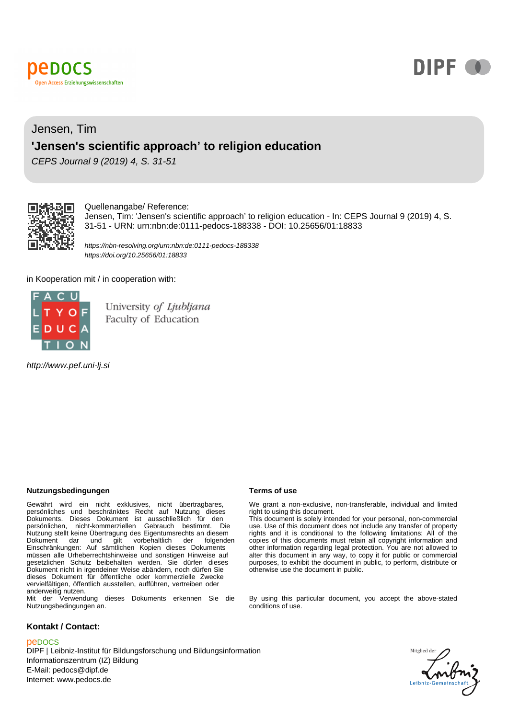



## Jensen, Tim **'Jensen's scientific approach' to religion education**

CEPS Journal 9 (2019) 4, S. 31-51



#### Quellenangabe/ Reference:

Jensen, Tim: 'Jensen's scientific approach' to religion education - In: CEPS Journal 9 (2019) 4, S. 31-51 - URN: urn:nbn:de:0111-pedocs-188338 - DOI: 10.25656/01:18833

https://nbn-resolving.org/urn:nbn:de:0111-pedocs-188338 https://doi.org/10.25656/01:18833

in Kooperation mit / in cooperation with:



University of Ljubljana Faculty of Education

http://www.pef.uni-lj.si

#### **Nutzungsbedingungen Terms of use**

Gewährt wird ein nicht exklusives, nicht übertragbares, persönliches und beschränktes Recht auf Nutzung dieses Dokuments. Dieses Dokument ist ausschließlich für den persönlichen, nicht-kommerziellen Gebrauch bestimmt. Die Nutzung stellt keine Übertragung des Eigentumsrechts an diesem Dokument dar und gilt vorbehaltlich der folgenden Einschränkungen: Auf sämtlichen Kopien dieses Dokuments müssen alle Urheberrechtshinweise und sonstigen Hinweise auf gesetzlichen Schutz beibehalten werden. Sie dürfen dieses Dokument nicht in irgendeiner Weise abändern, noch dürfen Sie dieses Dokument für öffentliche oder kommerzielle Zwecke vervielfältigen, öffentlich ausstellen, aufführen, vertreiben oder anderweitig nutzen. Mit der Verwendung dieses Dokuments erkennen Sie die

Nutzungsbedingungen an.

#### **Kontakt / Contact:**

#### peDOCS

DIPF | Leibniz-Institut für Bildungsforschung und Bildungsinformation Informationszentrum (IZ) Bildung E-Mail: pedocs@dipf.de Internet: www.pedocs.de

We grant a non-exclusive, non-transferable, individual and limited right to using this document.

This document is solely intended for your personal, non-commercial use. Use of this document does not include any transfer of property rights and it is conditional to the following limitations: All of the copies of this documents must retain all copyright information and other information regarding legal protection. You are not allowed to alter this document in any way, to copy it for public or commercial purposes, to exhibit the document in public, to perform, distribute or otherwise use the document in public.

By using this particular document, you accept the above-stated conditions of use.

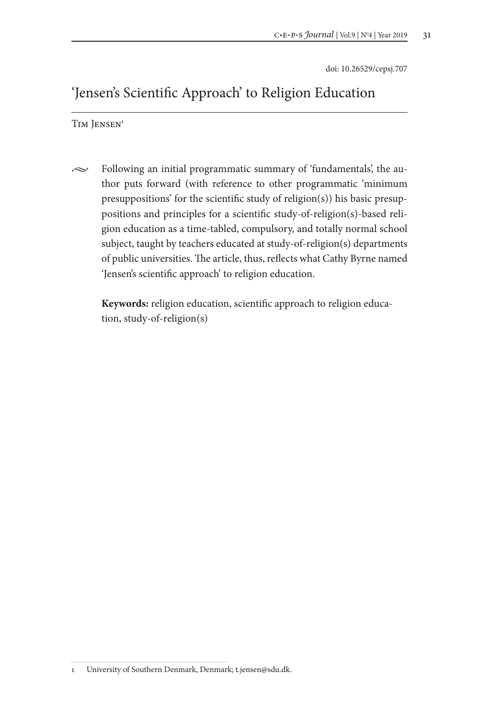doi: 10.26529/cepsj.707

# 'Jensen's Scientific Approach' to Religion Education

TIM JENSEN<sup>1</sup>

 $\sim$  Following an initial programmatic summary of 'fundamentals', the author puts forward (with reference to other programmatic 'minimum presuppositions' for the scientific study of religion(s)) his basic presuppositions and principles for a scientific study-of-religion(s)-based religion education as a time-tabled, compulsory, and totally normal school subject, taught by teachers educated at study-of-religion(s) departments of public universities. The article, thus, reflects what Cathy Byrne named 'Jensen's scientific approach' to religion education.

**Keywords:** religion education, scientific approach to religion education, study-of-religion(s)

<sup>1</sup> University of Southern Denmark, Denmark; t.jensen@sdu.dk.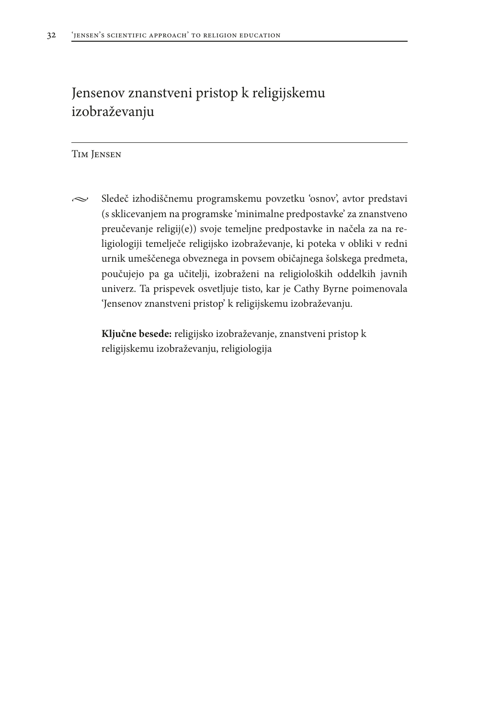# Jensenov znanstveni pristop k religijskemu izobraževanju

#### Tim Jensen

 $\sim$  Sledeč izhodiščnemu programskemu povzetku 'osnov', avtor predstavi (s sklicevanjem na programske 'minimalne predpostavke' za znanstveno preučevanje religij(e)) svoje temeljne predpostavke in načela za na religiologiji temelječe religijsko izobraževanje, ki poteka v obliki v redni urnik umeščenega obveznega in povsem običajnega šolskega predmeta, poučujejo pa ga učitelji, izobraženi na religioloških oddelkih javnih univerz. Ta prispevek osvetljuje tisto, kar je Cathy Byrne poimenovala 'Jensenov znanstveni pristop' k religijskemu izobraževanju.

**Ključne besede:** religijsko izobraževanje, znanstveni pristop k religijskemu izobraževanju, religiologija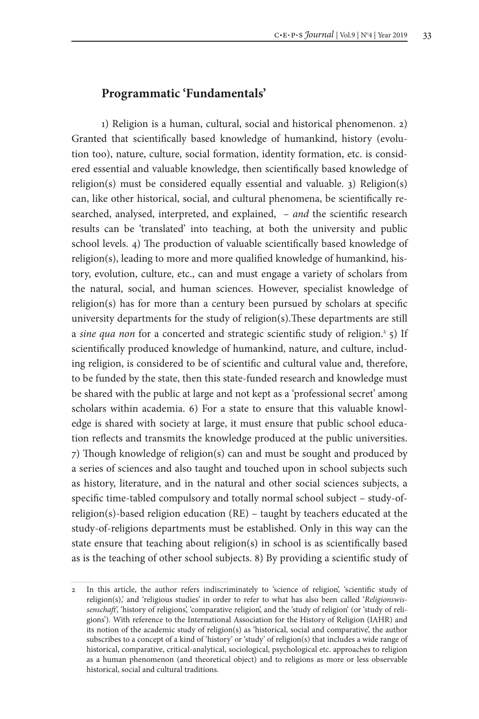## **Programmatic 'Fundamentals'**

1) Religion is a human, cultural, social and historical phenomenon. 2) Granted that scientifically based knowledge of humankind, history (evolution too), nature, culture, social formation, identity formation, etc. is considered essential and valuable knowledge, then scientifically based knowledge of religion(s) must be considered equally essential and valuable. 3) Religion(s) can, like other historical, social, and cultural phenomena, be scientifically researched, analysed, interpreted, and explained, – *and* the scientific research results can be 'translated' into teaching, at both the university and public school levels. 4) The production of valuable scientifically based knowledge of religion(s), leading to more and more qualified knowledge of humankind, history, evolution, culture, etc., can and must engage a variety of scholars from the natural, social, and human sciences. However, specialist knowledge of religion(s) has for more than a century been pursued by scholars at specific university departments for the study of religion(s).These departments are still a sine qua non for a concerted and strategic scientific study of religion.<sup>2</sup> 5) If scientifically produced knowledge of humankind, nature, and culture, including religion, is considered to be of scientific and cultural value and, therefore, to be funded by the state, then this state-funded research and knowledge must be shared with the public at large and not kept as a 'professional secret' among scholars within academia. 6) For a state to ensure that this valuable knowledge is shared with society at large, it must ensure that public school education reflects and transmits the knowledge produced at the public universities. 7) Though knowledge of religion(s) can and must be sought and produced by a series of sciences and also taught and touched upon in school subjects such as history, literature, and in the natural and other social sciences subjects, a specific time-tabled compulsory and totally normal school subject – study-ofreligion(s)-based religion education (RE) – taught by teachers educated at the study-of-religions departments must be established. Only in this way can the state ensure that teaching about religion(s) in school is as scientifically based as is the teaching of other school subjects. 8) By providing a scientific study of

<sup>2</sup> In this article, the author refers indiscriminately to 'science of religion', 'scientific study of religion(s),' and 'religious studies' in order to refer to what has also been called '*Religionswissenschaft*', 'history of religions', 'comparative religion', and the 'study of religion' (or 'study of religions'). With reference to the International Association for the History of Religion (IAHR) and its notion of the academic study of religion(s) as 'historical, social and comparative', the author subscribes to a concept of a kind of 'history' or 'study' of religion(s) that includes a wide range of historical, comparative, critical-analytical, sociological, psychological etc. approaches to religion as a human phenomenon (and theoretical object) and to religions as more or less observable historical, social and cultural traditions.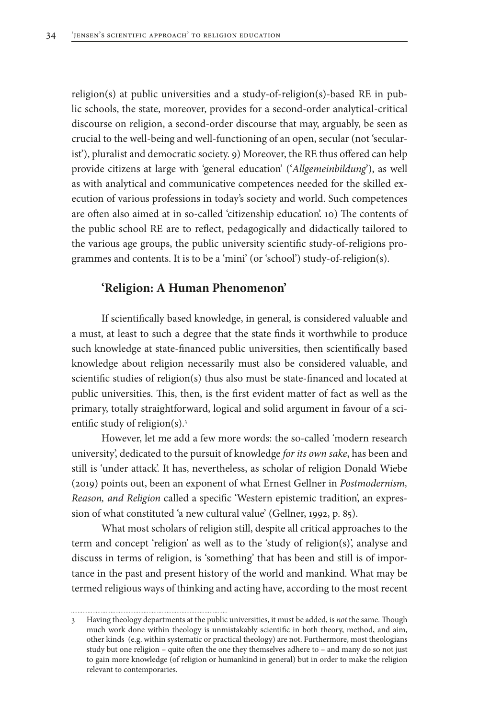religion(s) at public universities and a study-of-religion(s)-based RE in public schools, the state, moreover, provides for a second-order analytical-critical discourse on religion, a second-order discourse that may, arguably, be seen as crucial to the well-being and well-functioning of an open, secular (not 'secularist'), pluralist and democratic society. 9) Moreover, the RE thus offered can help provide citizens at large with 'general education' ('*Allgemeinbildung*'), as well as with analytical and communicative competences needed for the skilled execution of various professions in today's society and world. Such competences are often also aimed at in so-called 'citizenship education'. 10) The contents of the public school RE are to reflect, pedagogically and didactically tailored to the various age groups, the public university scientific study-of-religions programmes and contents. It is to be a 'mini' (or 'school') study-of-religion(s).

#### **'Religion: A Human Phenomenon'**

If scientifically based knowledge, in general, is considered valuable and a must, at least to such a degree that the state finds it worthwhile to produce such knowledge at state-financed public universities, then scientifically based knowledge about religion necessarily must also be considered valuable, and scientific studies of religion(s) thus also must be state-financed and located at public universities. This, then, is the first evident matter of fact as well as the primary, totally straightforward, logical and solid argument in favour of a scientific study of religion(s).3

However, let me add a few more words: the so-called 'modern research university', dedicated to the pursuit of knowledge *for its own sake*, has been and still is 'under attack'. It has, nevertheless, as scholar of religion Donald Wiebe (2019) points out, been an exponent of what Ernest Gellner in *Postmodernism, Reason, and Religion* called a specific 'Western epistemic tradition', an expression of what constituted 'a new cultural value' (Gellner, 1992, p. 85).

What most scholars of religion still, despite all critical approaches to the term and concept 'religion' as well as to the 'study of religion(s)', analyse and discuss in terms of religion, is 'something' that has been and still is of importance in the past and present history of the world and mankind. What may be termed religious ways of thinking and acting have, according to the most recent

<sup>3</sup> Having theology departments at the public universities, it must be added, is *not* the same. Though much work done within theology is unmistakably scientific in both theory, method, and aim, other kinds (e.g. within systematic or practical theology) are not. Furthermore, most theologians study but one religion – quite often the one they themselves adhere to – and many do so not just to gain more knowledge (of religion or humankind in general) but in order to make the religion relevant to contemporaries.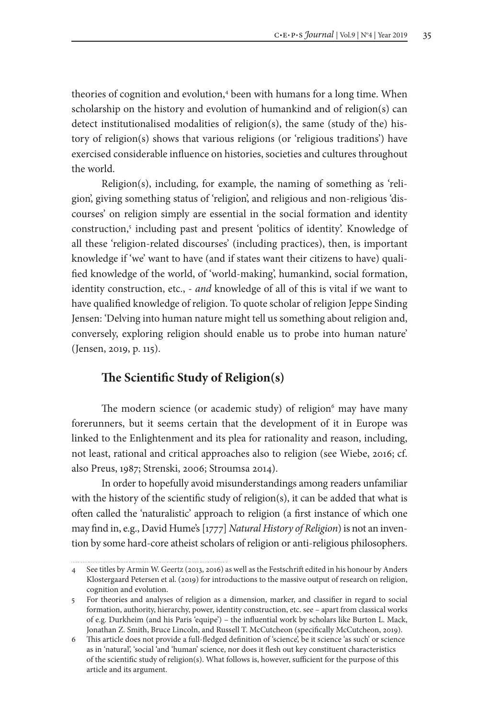theories of cognition and evolution,<sup>4</sup> been with humans for a long time. When scholarship on the history and evolution of humankind and of religion(s) can detect institutionalised modalities of religion(s), the same (study of the) history of religion(s) shows that various religions (or 'religious traditions') have exercised considerable influence on histories, societies and cultures throughout the world.

Religion(s), including, for example, the naming of something as 'religion', giving something status of 'religion', and religious and non-religious 'discourses' on religion simply are essential in the social formation and identity construction,<sup>5</sup> including past and present 'politics of identity'. Knowledge of all these 'religion-related discourses' (including practices), then, is important knowledge if 'we' want to have (and if states want their citizens to have) qualified knowledge of the world, of 'world-making', humankind, social formation, identity construction, etc., - *and* knowledge of all of this is vital if we want to have qualified knowledge of religion. To quote scholar of religion Jeppe Sinding Jensen: 'Delving into human nature might tell us something about religion and, conversely, exploring religion should enable us to probe into human nature' (Jensen, 2019, p. 115).

### **The Scientific Study of Religion(s)**

The modern science (or academic study) of religion<sup>6</sup> may have many forerunners, but it seems certain that the development of it in Europe was linked to the Enlightenment and its plea for rationality and reason, including, not least, rational and critical approaches also to religion (see Wiebe, 2016; cf. also Preus, 1987; Strenski, 2006; Stroumsa 2014).

In order to hopefully avoid misunderstandings among readers unfamiliar with the history of the scientific study of religion(s), it can be added that what is often called the 'naturalistic' approach to religion (a first instance of which one may find in, e.g., David Hume's [1777] *Natural History of Religion*) is not an invention by some hard-core atheist scholars of religion or anti-religious philosophers.

<sup>4</sup> See titles by Armin W. Geertz (2013, 2016) as well as the Festschrift edited in his honour by Anders Klostergaard Petersen et al. (2019) for introductions to the massive output of research on religion, cognition and evolution.

<sup>5</sup> For theories and analyses of religion as a dimension, marker, and classifier in regard to social formation, authority, hierarchy, power, identity construction, etc. see – apart from classical works of e.g. Durkheim (and his Paris 'equipe') – the influential work by scholars like Burton L. Mack, Jonathan Z. Smith, Bruce Lincoln, and Russell T. McCutcheon (specifically McCutcheon, 2019).

<sup>6</sup> This article does not provide a full-fledged definition of 'science', be it science 'as such' or science as in 'natural', 'social 'and 'human' science, nor does it flesh out key constituent characteristics of the scientific study of religion(s). What follows is, however, sufficient for the purpose of this article and its argument.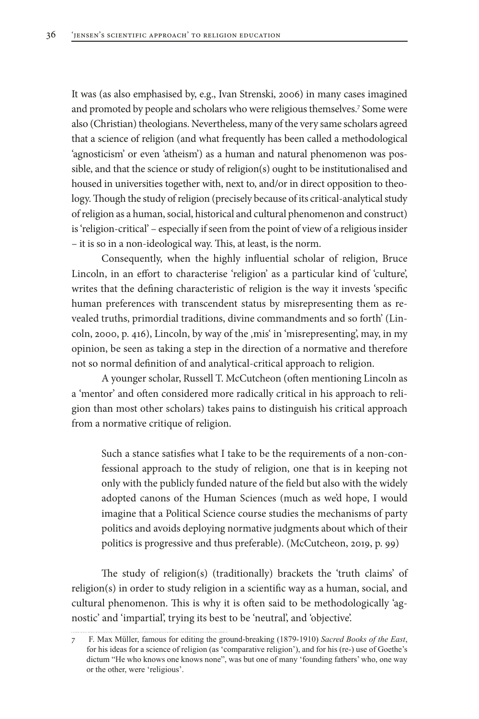It was (as also emphasised by, e.g., Ivan Strenski, 2006) in many cases imagined and promoted by people and scholars who were religious themselves.7 Some were also (Christian) theologians. Nevertheless, many of the very same scholars agreed that a science of religion (and what frequently has been called a methodological 'agnosticism' or even 'atheism') as a human and natural phenomenon was possible, and that the science or study of religion(s) ought to be institutionalised and housed in universities together with, next to, and/or in direct opposition to theology. Though the study of religion (precisely because of its critical-analytical study of religion as a human, social, historical and cultural phenomenon and construct) is 'religion-critical' – especially if seen from the point of view of a religious insider – it is so in a non-ideological way. This, at least, is the norm.

Consequently, when the highly influential scholar of religion, Bruce Lincoln, in an effort to characterise 'religion' as a particular kind of 'culture', writes that the defining characteristic of religion is the way it invests 'specific human preferences with transcendent status by misrepresenting them as revealed truths, primordial traditions, divine commandments and so forth' (Lincoln, 2000, p. 416), Lincoln, by way of the ,mis' in 'misrepresenting', may, in my opinion, be seen as taking a step in the direction of a normative and therefore not so normal definition of and analytical-critical approach to religion.

A younger scholar, Russell T. McCutcheon (often mentioning Lincoln as a 'mentor' and often considered more radically critical in his approach to religion than most other scholars) takes pains to distinguish his critical approach from a normative critique of religion.

Such a stance satisfies what I take to be the requirements of a non-confessional approach to the study of religion, one that is in keeping not only with the publicly funded nature of the field but also with the widely adopted canons of the Human Sciences (much as we'd hope, I would imagine that a Political Science course studies the mechanisms of party politics and avoids deploying normative judgments about which of their politics is progressive and thus preferable). (McCutcheon, 2019, p. 99)

The study of religion(s) (traditionally) brackets the 'truth claims' of religion(s) in order to study religion in a scientific way as a human, social, and cultural phenomenon. This is why it is often said to be methodologically 'agnostic' and 'impartial', trying its best to be 'neutral', and 'objective'.

<sup>7</sup> F. Max Müller, famous for editing the ground-breaking (1879-1910) *Sacred Books of the East*, for his ideas for a science of religion (as 'comparative religion'), and for his (re-) use of Goethe's dictum "He who knows one knows none", was but one of many 'founding fathers' who, one way or the other, were 'religious'.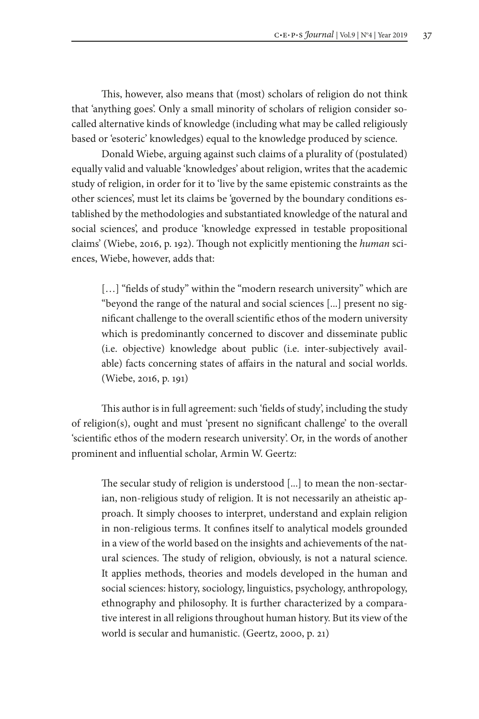This, however, also means that (most) scholars of religion do not think that 'anything goes'. Only a small minority of scholars of religion consider socalled alternative kinds of knowledge (including what may be called religiously based or 'esoteric' knowledges) equal to the knowledge produced by science.

Donald Wiebe, arguing against such claims of a plurality of (postulated) equally valid and valuable 'knowledges' about religion, writes that the academic study of religion, in order for it to 'live by the same epistemic constraints as the other sciences', must let its claims be 'governed by the boundary conditions established by the methodologies and substantiated knowledge of the natural and social sciences', and produce 'knowledge expressed in testable propositional claims' (Wiebe, 2016, p. 192). Though not explicitly mentioning the *human* sciences, Wiebe, however, adds that:

[...] "fields of study" within the "modern research university" which are "beyond the range of the natural and social sciences [...] present no significant challenge to the overall scientific ethos of the modern university which is predominantly concerned to discover and disseminate public (i.e. objective) knowledge about public (i.e. inter-subjectively available) facts concerning states of affairs in the natural and social worlds. (Wiebe, 2016, p. 191)

This author is in full agreement: such 'fields of study', including the study of religion(s), ought and must 'present no significant challenge' to the overall 'scientific ethos of the modern research university'. Or, in the words of another prominent and influential scholar, Armin W. Geertz:

The secular study of religion is understood [...] to mean the non-sectarian, non-religious study of religion. It is not necessarily an atheistic approach. It simply chooses to interpret, understand and explain religion in non-religious terms. It confines itself to analytical models grounded in a view of the world based on the insights and achievements of the natural sciences. The study of religion, obviously, is not a natural science. It applies methods, theories and models developed in the human and social sciences: history, sociology, linguistics, psychology, anthropology, ethnography and philosophy. It is further characterized by a comparative interest in all religions throughout human history. But its view of the world is secular and humanistic. (Geertz, 2000, p. 21)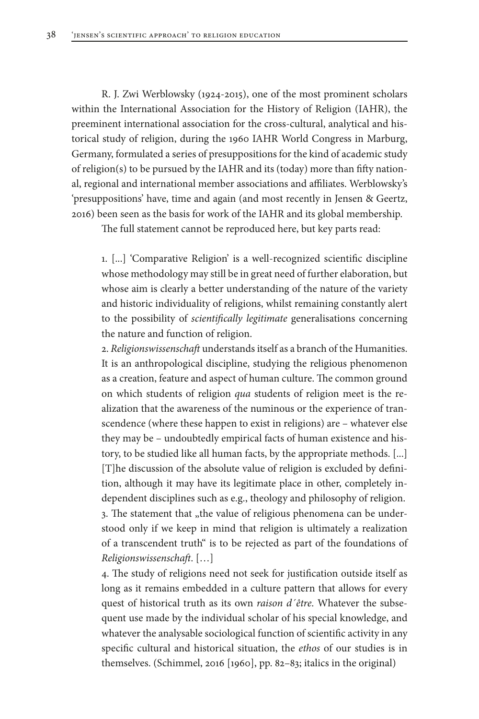R. J. Zwi Werblowsky (1924-2015), one of the most prominent scholars within the International Association for the History of Religion (IAHR), the preeminent international association for the cross-cultural, analytical and historical study of religion, during the 1960 IAHR World Congress in Marburg, Germany, formulated a series of presuppositions for the kind of academic study of religion(s) to be pursued by the IAHR and its (today) more than fifty national, regional and international member associations and affiliates. Werblowsky's 'presuppositions' have, time and again (and most recently in Jensen & Geertz, 2016) been seen as the basis for work of the IAHR and its global membership.

The full statement cannot be reproduced here, but key parts read:

1. [...] 'Comparative Religion' is a well-recognized scientific discipline whose methodology may still be in great need of further elaboration, but whose aim is clearly a better understanding of the nature of the variety and historic individuality of religions, whilst remaining constantly alert to the possibility of *scientifically legitimate* generalisations concerning the nature and function of religion.

2. *Religionswissenschaft* understands itself as a branch of the Humanities. It is an anthropological discipline, studying the religious phenomenon as a creation, feature and aspect of human culture. The common ground on which students of religion *qua* students of religion meet is the realization that the awareness of the numinous or the experience of transcendence (where these happen to exist in religions) are – whatever else they may be – undoubtedly empirical facts of human existence and history, to be studied like all human facts, by the appropriate methods. [...] [T]he discussion of the absolute value of religion is excluded by definition, although it may have its legitimate place in other, completely independent disciplines such as e.g., theology and philosophy of religion. 3. The statement that "the value of religious phenomena can be understood only if we keep in mind that religion is ultimately a realization of a transcendent truth" is to be rejected as part of the foundations of *Religionswissenschaft*. […]

4. The study of religions need not seek for justification outside itself as long as it remains embedded in a culture pattern that allows for every quest of historical truth as its own *raison d´être*. Whatever the subsequent use made by the individual scholar of his special knowledge, and whatever the analysable sociological function of scientific activity in any specific cultural and historical situation, the *ethos* of our studies is in themselves. (Schimmel, 2016 [1960], pp. 82–83; italics in the original)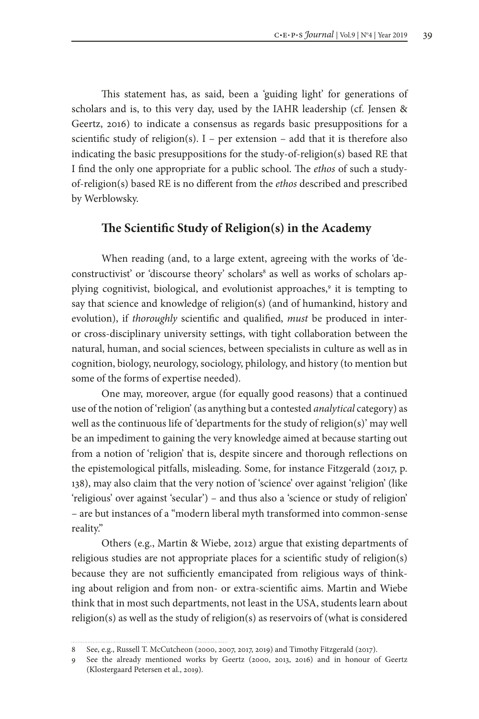This statement has, as said, been a 'guiding light' for generations of scholars and is, to this very day, used by the IAHR leadership (cf. Jensen & Geertz, 2016) to indicate a consensus as regards basic presuppositions for a scientific study of religion(s).  $I$  – per extension – add that it is therefore also indicating the basic presuppositions for the study-of-religion(s) based RE that I find the only one appropriate for a public school. The *ethos* of such a studyof-religion(s) based RE is no different from the *ethos* described and prescribed by Werblowsky.

## **The Scientific Study of Religion(s) in the Academy**

When reading (and, to a large extent, agreeing with the works of 'deconstructivist' or 'discourse theory' scholars<sup>8</sup> as well as works of scholars applying cognitivist, biological, and evolutionist approaches,<sup>9</sup> it is tempting to say that science and knowledge of religion(s) (and of humankind, history and evolution), if *thoroughly* scientific and qualified, *must* be produced in interor cross-disciplinary university settings, with tight collaboration between the natural, human, and social sciences, between specialists in culture as well as in cognition, biology, neurology, sociology, philology, and history (to mention but some of the forms of expertise needed).

One may, moreover, argue (for equally good reasons) that a continued use of the notion of 'religion' (as anything but a contested *analytical* category) as well as the continuous life of 'departments for the study of religion(s)' may well be an impediment to gaining the very knowledge aimed at because starting out from a notion of 'religion' that is, despite sincere and thorough reflections on the epistemological pitfalls, misleading. Some, for instance Fitzgerald (2017, p. 138), may also claim that the very notion of 'science' over against 'religion' (like 'religious' over against 'secular') – and thus also a 'science or study of religion' – are but instances of a "modern liberal myth transformed into common-sense reality."

Others (e.g., Martin & Wiebe, 2012) argue that existing departments of religious studies are not appropriate places for a scientific study of religion(s) because they are not sufficiently emancipated from religious ways of thinking about religion and from non- or extra-scientific aims. Martin and Wiebe think that in most such departments, not least in the USA, students learn about religion(s) as well as the study of religion(s) as reservoirs of (what is considered

<sup>8</sup> See, e.g., Russell T. McCutcheon (2000, 2007, 2017, 2019) and Timothy Fitzgerald (2017).

<sup>9</sup> See the already mentioned works by Geertz (2000, 2013, 2016) and in honour of Geertz (Klostergaard Petersen et al., 2019).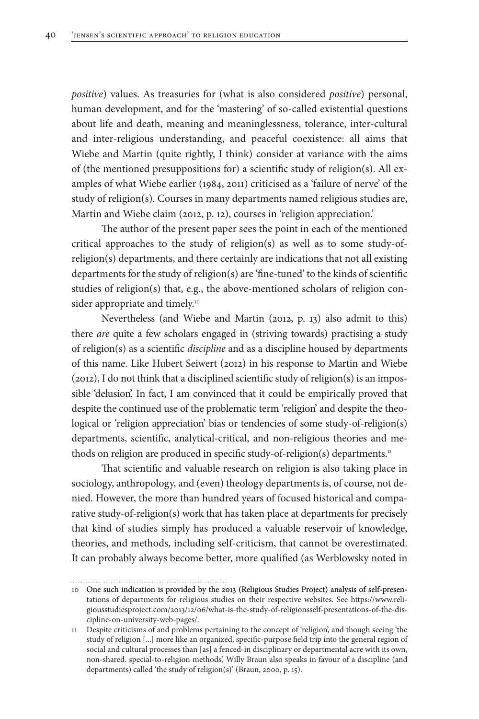*positive*) values. As treasuries for (what is also considered *positive*) personal, human development, and for the 'mastering' of so-called existential questions about life and death, meaning and meaninglessness, tolerance, inter-cultural and inter-religious understanding, and peaceful coexistence: all aims that Wiebe and Martin (quite rightly, I think) consider at variance with the aims of (the mentioned presuppositions for) a scientific study of religion(s). All examples of what Wiebe earlier (1984, 2011) criticised as a 'failure of nerve' of the study of religion(s). Courses in many departments named religious studies are, Martin and Wiebe claim (2012, p. 12), courses in 'religion appreciation.'

The author of the present paper sees the point in each of the mentioned critical approaches to the study of religion(s) as well as to some study-ofreligion(s) departments, and there certainly are indications that not all existing departments for the study of religion(s) are 'fine-tuned' to the kinds of scientific studies of religion(s) that, e.g., the above-mentioned scholars of religion consider appropriate and timely.<sup>10</sup>

Nevertheless (and Wiebe and Martin (2012, p. 13) also admit to this) there *are* quite a few scholars engaged in (striving towards) practising a study of religion(s) as a scientific *discipline* and as a discipline housed by departments of this name. Like Hubert Seiwert (2012) in his response to Martin and Wiebe (2012), I do not think that a disciplined scientific study of religion(s) is an impossible 'delusion'. In fact, I am convinced that it could be empirically proved that despite the continued use of the problematic term 'religion' and despite the theological or 'religion appreciation' bias or tendencies of some study-of-religion(s) departments, scientific, analytical-critical, and non-religious theories and methods on religion are produced in specific study-of-religion(s) departments.<sup>11</sup>

That scientific and valuable research on religion is also taking place in sociology, anthropology, and (even) theology departments is, of course, not denied. However, the more than hundred years of focused historical and comparative study-of-religion(s) work that has taken place at departments for precisely that kind of studies simply has produced a valuable reservoir of knowledge, theories, and methods, including self-criticism, that cannot be overestimated. It can probably always become better, more qualified (as Werblowsky noted in

10 One such indication is provided by the 2013 (Religious Studies Project) analysis of self-presentations of departments for religious studies on their respective websites. See https://www.religiousstudiesproject.com/2013/12/06/what-is-the-study-of-religionsself-presentations-of-the-discipline-on-university-web-pages/.

<sup>11</sup> Despite criticisms of and problems pertaining to the concept of 'religion', and though seeing 'the study of religion [...] more like an organized, specific-purpose field trip into the general region of social and cultural processes than [as] a fenced-in disciplinary or departmental acre with its own, non-shared. special-to-religion methods', Willy Braun also speaks in favour of a discipline (and departments) called 'the study of religion(s)' (Braun, 2000, p. 15).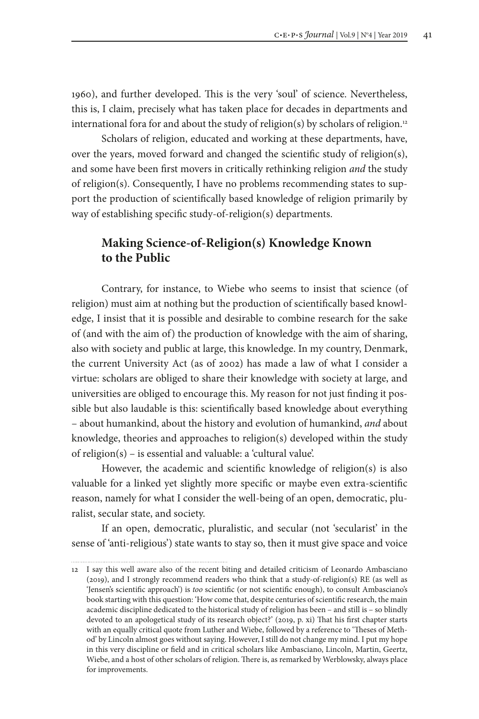1960), and further developed. This is the very 'soul' of science. Nevertheless, this is, I claim, precisely what has taken place for decades in departments and international fora for and about the study of religion(s) by scholars of religion.<sup>12</sup>

Scholars of religion, educated and working at these departments, have, over the years, moved forward and changed the scientific study of religion(s), and some have been first movers in critically rethinking religion *and* the study of religion(s). Consequently, I have no problems recommending states to support the production of scientifically based knowledge of religion primarily by way of establishing specific study-of-religion(s) departments.

## **Making Science-of-Religion(s) Knowledge Known to the Public**

Contrary, for instance, to Wiebe who seems to insist that science (of religion) must aim at nothing but the production of scientifically based knowledge, I insist that it is possible and desirable to combine research for the sake of (and with the aim of) the production of knowledge with the aim of sharing, also with society and public at large, this knowledge. In my country, Denmark, the current University Act (as of 2002) has made a law of what I consider a virtue: scholars are obliged to share their knowledge with society at large, and universities are obliged to encourage this. My reason for not just finding it possible but also laudable is this: scientifically based knowledge about everything – about humankind, about the history and evolution of humankind, *and* about knowledge, theories and approaches to religion(s) developed within the study of religion(s) – is essential and valuable: a 'cultural value'.

However, the academic and scientific knowledge of religion(s) is also valuable for a linked yet slightly more specific or maybe even extra-scientific reason, namely for what I consider the well-being of an open, democratic, pluralist, secular state, and society.

If an open, democratic, pluralistic, and secular (not 'secularist' in the sense of 'anti-religious') state wants to stay so, then it must give space and voice

<sup>12</sup> I say this well aware also of the recent biting and detailed criticism of Leonardo Ambasciano (2019), and I strongly recommend readers who think that a study-of-religion(s) RE (as well as 'Jensen's scientific approach') is *too* scientific (or not scientific enough), to consult Ambasciano's book starting with this question: 'How come that, despite centuries of scientific research, the main academic discipline dedicated to the historical study of religion has been – and still is – so blindly devoted to an apologetical study of its research object?' (2019, p. xi) That his first chapter starts with an equally critical quote from Luther and Wiebe, followed by a reference to 'Theses of Method' by Lincoln almost goes without saying. However, I still do not change my mind. I put my hope in this very discipline or field and in critical scholars like Ambasciano, Lincoln, Martin, Geertz, Wiebe, and a host of other scholars of religion. There is, as remarked by Werblowsky, always place for improvements.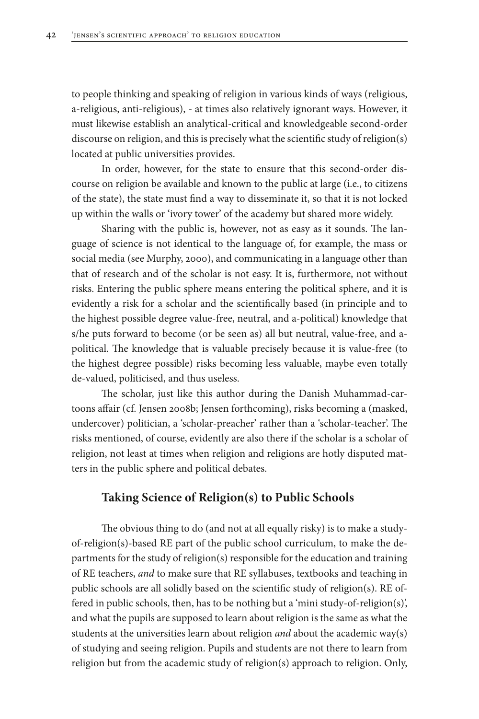to people thinking and speaking of religion in various kinds of ways (religious, a-religious, anti-religious), - at times also relatively ignorant ways. However, it must likewise establish an analytical-critical and knowledgeable second-order discourse on religion, and this is precisely what the scientific study of religion(s) located at public universities provides.

In order, however, for the state to ensure that this second-order discourse on religion be available and known to the public at large (i.e., to citizens of the state), the state must find a way to disseminate it, so that it is not locked up within the walls or 'ivory tower' of the academy but shared more widely.

Sharing with the public is, however, not as easy as it sounds. The language of science is not identical to the language of, for example, the mass or social media (see Murphy, 2000), and communicating in a language other than that of research and of the scholar is not easy. It is, furthermore, not without risks. Entering the public sphere means entering the political sphere, and it is evidently a risk for a scholar and the scientifically based (in principle and to the highest possible degree value-free, neutral, and a-political) knowledge that s/he puts forward to become (or be seen as) all but neutral, value-free, and apolitical. The knowledge that is valuable precisely because it is value-free (to the highest degree possible) risks becoming less valuable, maybe even totally de-valued, politicised, and thus useless.

The scholar, just like this author during the Danish Muhammad-cartoons affair (cf. Jensen 2008b; Jensen forthcoming), risks becoming a (masked, undercover) politician, a 'scholar-preacher' rather than a 'scholar-teacher'. The risks mentioned, of course, evidently are also there if the scholar is a scholar of religion, not least at times when religion and religions are hotly disputed matters in the public sphere and political debates.

#### **Taking Science of Religion(s) to Public Schools**

The obvious thing to do (and not at all equally risky) is to make a studyof-religion(s)-based RE part of the public school curriculum, to make the departments for the study of religion(s) responsible for the education and training of RE teachers, *and* to make sure that RE syllabuses, textbooks and teaching in public schools are all solidly based on the scientific study of religion(s). RE offered in public schools, then, has to be nothing but a 'mini study-of-religion(s)', and what the pupils are supposed to learn about religion is the same as what the students at the universities learn about religion *and* about the academic way(s) of studying and seeing religion. Pupils and students are not there to learn from religion but from the academic study of religion(s) approach to religion. Only,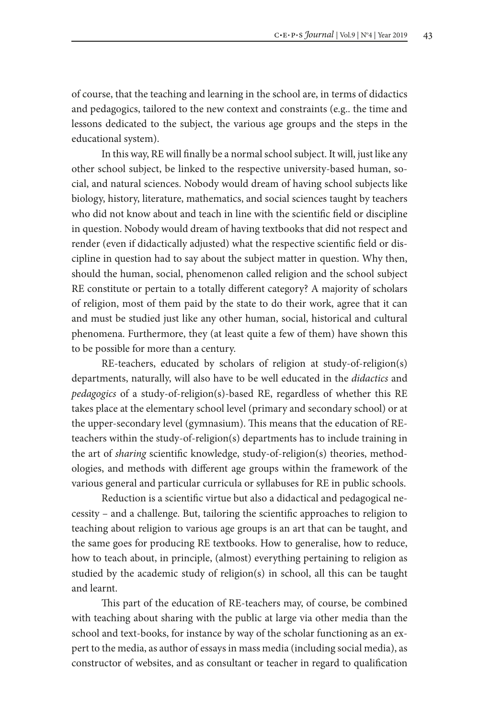of course, that the teaching and learning in the school are, in terms of didactics and pedagogics, tailored to the new context and constraints (e.g.. the time and lessons dedicated to the subject, the various age groups and the steps in the educational system).

In this way, RE will finally be a normal school subject. It will, just like any other school subject, be linked to the respective university-based human, social, and natural sciences. Nobody would dream of having school subjects like biology, history, literature, mathematics, and social sciences taught by teachers who did not know about and teach in line with the scientific field or discipline in question. Nobody would dream of having textbooks that did not respect and render (even if didactically adjusted) what the respective scientific field or discipline in question had to say about the subject matter in question. Why then, should the human, social, phenomenon called religion and the school subject RE constitute or pertain to a totally different category? A majority of scholars of religion, most of them paid by the state to do their work, agree that it can and must be studied just like any other human, social, historical and cultural phenomena. Furthermore, they (at least quite a few of them) have shown this to be possible for more than a century.

RE-teachers, educated by scholars of religion at study-of-religion(s) departments, naturally, will also have to be well educated in the *didactics* and *pedagogics* of a study-of-religion(s)-based RE, regardless of whether this RE takes place at the elementary school level (primary and secondary school) or at the upper-secondary level (gymnasium). This means that the education of REteachers within the study-of-religion(s) departments has to include training in the art of *sharing* scientific knowledge, study-of-religion(s) theories, methodologies, and methods with different age groups within the framework of the various general and particular curricula or syllabuses for RE in public schools.

Reduction is a scientific virtue but also a didactical and pedagogical necessity – and a challenge. But, tailoring the scientific approaches to religion to teaching about religion to various age groups is an art that can be taught, and the same goes for producing RE textbooks. How to generalise, how to reduce, how to teach about, in principle, (almost) everything pertaining to religion as studied by the academic study of religion(s) in school, all this can be taught and learnt.

This part of the education of RE-teachers may, of course, be combined with teaching about sharing with the public at large via other media than the school and text-books, for instance by way of the scholar functioning as an expert to the media, as author of essays in mass media (including social media), as constructor of websites, and as consultant or teacher in regard to qualification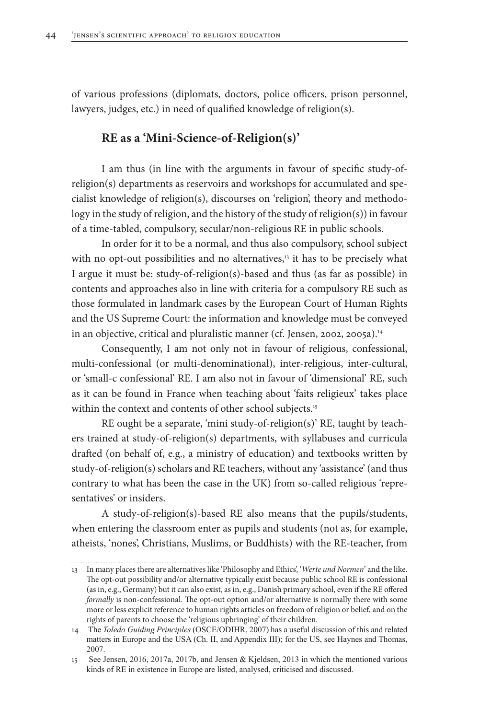of various professions (diplomats, doctors, police officers, prison personnel, lawyers, judges, etc.) in need of qualified knowledge of religion(s).

## **RE as a 'Mini-Science-of-Religion(s)'**

I am thus (in line with the arguments in favour of specific study-ofreligion(s) departments as reservoirs and workshops for accumulated and specialist knowledge of religion(s), discourses on 'religion', theory and methodology in the study of religion, and the history of the study of religion(s)) in favour of a time-tabled, compulsory, secular/non-religious RE in public schools.

In order for it to be a normal, and thus also compulsory, school subject with no opt-out possibilities and no alternatives,<sup>13</sup> it has to be precisely what I argue it must be: study-of-religion(s)-based and thus (as far as possible) in contents and approaches also in line with criteria for a compulsory RE such as those formulated in landmark cases by the European Court of Human Rights and the US Supreme Court: the information and knowledge must be conveyed in an objective, critical and pluralistic manner (cf. Jensen, 2002, 2005a).<sup>14</sup>

Consequently, I am not only not in favour of religious, confessional, multi-confessional (or multi-denominational), inter-religious, inter-cultural, or 'small-c confessional' RE. I am also not in favour of 'dimensional' RE, such as it can be found in France when teaching about 'faits religieux' takes place within the context and contents of other school subjects.<sup>15</sup>

RE ought be a separate, 'mini study-of-religion(s)' RE, taught by teachers trained at study-of-religion(s) departments, with syllabuses and curricula drafted (on behalf of, e.g., a ministry of education) and textbooks written by study-of-religion(s) scholars and RE teachers, without any 'assistance' (and thus contrary to what has been the case in the UK) from so-called religious 'representatives' or insiders.

A study-of-religion(s)-based RE also means that the pupils/students, when entering the classroom enter as pupils and students (not as, for example, atheists, 'nones', Christians, Muslims, or Buddhists) with the RE-teacher, from

<sup>13</sup> In many places there are alternatives like 'Philosophy and Ethics', '*Werte und Normen*' and the like. The opt-out possibility and/or alternative typically exist because public school RE is confessional (as in, e.g., Germany) but it can also exist, as in, e.g., Danish primary school, even if the RE offered *formally* is non-confessional. The opt-out option and/or alternative is normally there with some more or less explicit reference to human rights articles on freedom of religion or belief, and on the rights of parents to choose the 'religious upbringing' of their children.

<sup>14</sup> The *Toledo Guiding Principles* (OSCE/ODIHR, 2007) has a useful discussion of this and related matters in Europe and the USA (Ch. II, and Appendix III); for the US, see Haynes and Thomas, 2007.

<sup>15</sup> See Jensen, 2016, 2017a, 2017b, and Jensen & Kjeldsen, 2013 in which the mentioned various kinds of RE in existence in Europe are listed, analysed, criticised and discussed.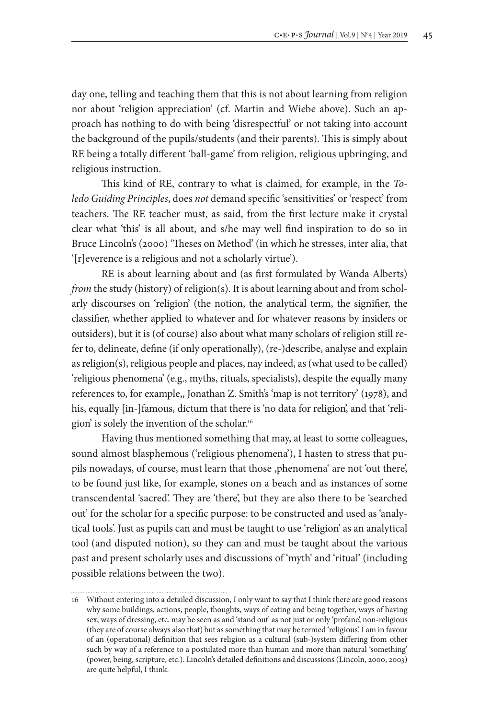day one, telling and teaching them that this is not about learning from religion nor about 'religion appreciation' (cf. Martin and Wiebe above). Such an approach has nothing to do with being 'disrespectful' or not taking into account the background of the pupils/students (and their parents). This is simply about RE being a totally different 'ball-game' from religion, religious upbringing, and religious instruction.

This kind of RE, contrary to what is claimed, for example, in the *Toledo Guiding Principles*, does *not* demand specific 'sensitivities' or 'respect' from teachers. The RE teacher must, as said, from the first lecture make it crystal clear what 'this' is all about, and s/he may well find inspiration to do so in Bruce Lincoln's (2000) 'Theses on Method' (in which he stresses, inter alia, that '[r]everence is a religious and not a scholarly virtue').

RE is about learning about and (as first formulated by Wanda Alberts) *from* the study (history) of religion(s). It is about learning about and from scholarly discourses on 'religion' (the notion, the analytical term, the signifier, the classifier, whether applied to whatever and for whatever reasons by insiders or outsiders), but it is (of course) also about what many scholars of religion still refer to, delineate, define (if only operationally), (re-)describe, analyse and explain as religion(s), religious people and places, nay indeed, as (what used to be called) 'religious phenomena' (e.g., myths, rituals, specialists), despite the equally many references to, for example,, Jonathan Z. Smith's 'map is not territory' (1978), and his, equally [in-]famous, dictum that there is 'no data for religion', and that 'religion' is solely the invention of the scholar.16

Having thus mentioned something that may, at least to some colleagues, sound almost blasphemous ('religious phenomena'), I hasten to stress that pupils nowadays, of course, must learn that those ,phenomena' are not 'out there', to be found just like, for example, stones on a beach and as instances of some transcendental 'sacred'. They are 'there', but they are also there to be 'searched out' for the scholar for a specific purpose: to be constructed and used as 'analytical tools'. Just as pupils can and must be taught to use 'religion' as an analytical tool (and disputed notion), so they can and must be taught about the various past and present scholarly uses and discussions of 'myth' and 'ritual' (including possible relations between the two).

<sup>16</sup> Without entering into a detailed discussion, I only want to say that I think there are good reasons why some buildings, actions, people, thoughts, ways of eating and being together, ways of having sex, ways of dressing, etc. may be seen as and 'stand out' as not just or only 'profane', non-religious (they are of course always also that) but as something that may be termed 'religious'. I am in favour of an (operational) definition that sees religion as a cultural (sub-)system differing from other such by way of a reference to a postulated more than human and more than natural 'something' (power, being, scripture, etc.). Lincoln's detailed definitions and discussions (Lincoln, 2000, 2003) are quite helpful, I think.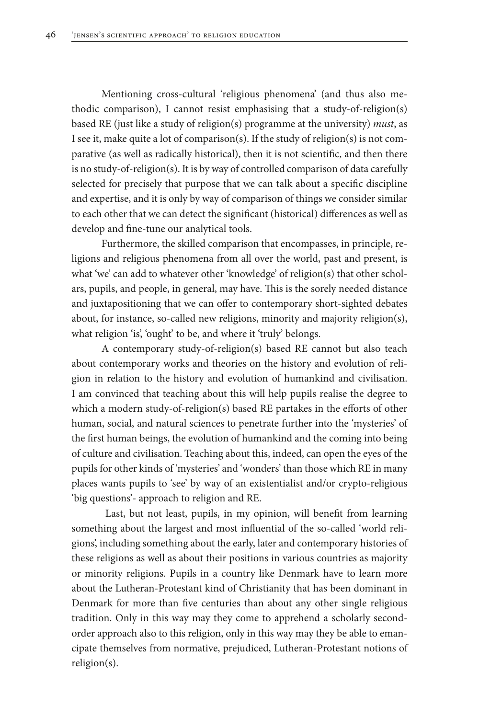Mentioning cross-cultural 'religious phenomena' (and thus also methodic comparison), I cannot resist emphasising that a study-of-religion(s) based RE (just like a study of religion(s) programme at the university) *must*, as I see it, make quite a lot of comparison(s). If the study of religion(s) is not comparative (as well as radically historical), then it is not scientific, and then there is no study-of-religion(s). It is by way of controlled comparison of data carefully selected for precisely that purpose that we can talk about a specific discipline and expertise, and it is only by way of comparison of things we consider similar to each other that we can detect the significant (historical) differences as well as develop and fine-tune our analytical tools.

Furthermore, the skilled comparison that encompasses, in principle, religions and religious phenomena from all over the world, past and present, is what 'we' can add to whatever other 'knowledge' of religion(s) that other scholars, pupils, and people, in general, may have. This is the sorely needed distance and juxtapositioning that we can offer to contemporary short-sighted debates about, for instance, so-called new religions, minority and majority religion(s), what religion 'is', 'ought' to be, and where it 'truly' belongs.

A contemporary study-of-religion(s) based RE cannot but also teach about contemporary works and theories on the history and evolution of religion in relation to the history and evolution of humankind and civilisation. I am convinced that teaching about this will help pupils realise the degree to which a modern study-of-religion(s) based RE partakes in the efforts of other human, social, and natural sciences to penetrate further into the 'mysteries' of the first human beings, the evolution of humankind and the coming into being of culture and civilisation. Teaching about this, indeed, can open the eyes of the pupils for other kinds of 'mysteries' and 'wonders' than those which RE in many places wants pupils to 'see' by way of an existentialist and/or crypto-religious 'big questions'- approach to religion and RE.

 Last, but not least, pupils, in my opinion, will benefit from learning something about the largest and most influential of the so-called 'world religions', including something about the early, later and contemporary histories of these religions as well as about their positions in various countries as majority or minority religions. Pupils in a country like Denmark have to learn more about the Lutheran-Protestant kind of Christianity that has been dominant in Denmark for more than five centuries than about any other single religious tradition. Only in this way may they come to apprehend a scholarly secondorder approach also to this religion, only in this way may they be able to emancipate themselves from normative, prejudiced, Lutheran-Protestant notions of religion(s).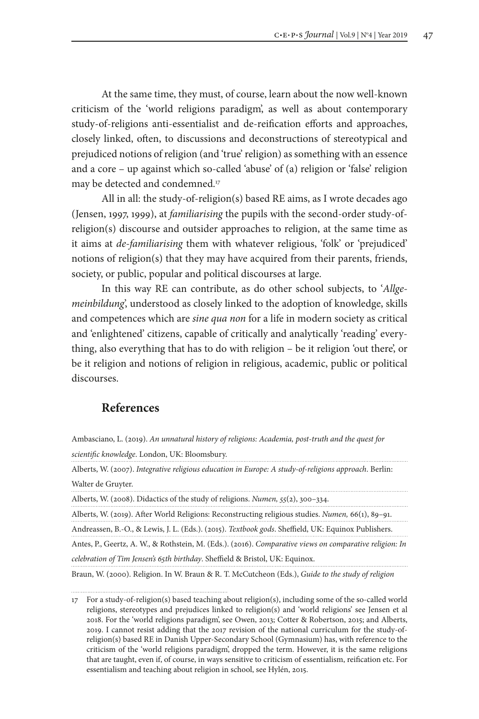At the same time, they must, of course, learn about the now well-known criticism of the 'world religions paradigm', as well as about contemporary study-of-religions anti-essentialist and de-reification efforts and approaches, closely linked, often, to discussions and deconstructions of stereotypical and prejudiced notions of religion (and 'true' religion) as something with an essence and a core – up against which so-called 'abuse' of (a) religion or 'false' religion may be detected and condemned.17

All in all: the study-of-religion(s) based RE aims, as I wrote decades ago (Jensen, 1997, 1999), at *familiarising* the pupils with the second-order study-ofreligion(s) discourse and outsider approaches to religion, at the same time as it aims at *de-familiarising* them with whatever religious, 'folk' or 'prejudiced' notions of religion(s) that they may have acquired from their parents, friends, society, or public, popular and political discourses at large.

In this way RE can contribute, as do other school subjects, to '*Allgemeinbildung*', understood as closely linked to the adoption of knowledge, skills and competences which are *sine qua non* for a life in modern society as critical and 'enlightened' citizens, capable of critically and analytically 'reading' everything, also everything that has to do with religion – be it religion 'out there', or be it religion and notions of religion in religious, academic, public or political discourses.

#### **References**

Alberts, W. (2007). *Integrative religious education in Europe: A study-of-religions approach*. Berlin: Walter de Gruyter.

Alberts, W. (2008). Didactics of the study of religions. *Numen, 55*(2), 300–334.

Alberts, W. (2019). After World Religions: Reconstructing religious studies. *Numen,* 66(1), 89–91.

Andreassen, B.-O., & Lewis, J. L. (Eds.). (2015). *Textbook gods*. Sheffield, UK: Equinox Publishers.

Antes, P., Geertz, A. W., & Rothstein, M. (Eds.). (2016). *Comparative views on comparative religion: In celebration of Tim Jensen's 65th birthday*. Sheffield & Bristol, UK: Equinox.

Braun, W. (2000). Religion. In W. Braun & R. T. McCutcheon (Eds.), *Guide to the study of religion* 

Ambasciano, L. (2019). *An unnatural history of religions: Academia, post-truth and the quest for scientific knowledge*. London, UK: Bloomsbury.

<sup>17</sup> For a study-of-religion(s) based teaching about religion(s), including some of the so-called world religions, stereotypes and prejudices linked to religion(s) and 'world religions' see Jensen et al 2018. For the 'world religions paradigm', see Owen, 2013; Cotter & Robertson, 2015; and Alberts, 2019. I cannot resist adding that the 2017 revision of the national curriculum for the study-ofreligion(s) based RE in Danish Upper-Secondary School (Gymnasium) has, with reference to the criticism of the 'world religions paradigm', dropped the term. However, it is the same religions that are taught, even if, of course, in ways sensitive to criticism of essentialism, reification etc. For essentialism and teaching about religion in school, see Hylén, 2015.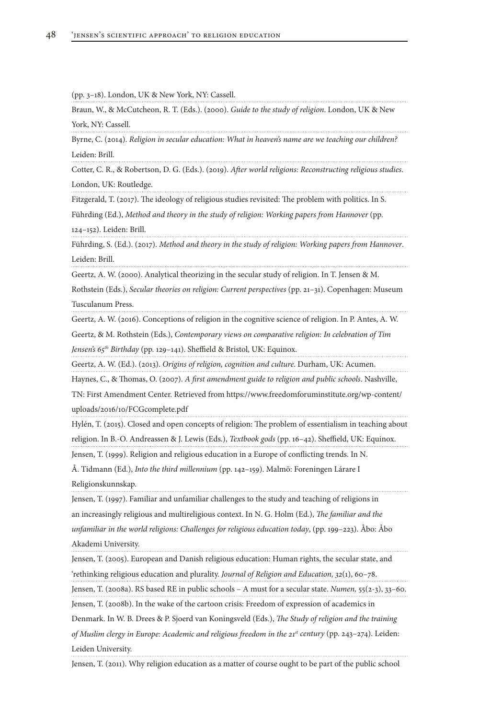(pp. 3–18). London, UK & New York, NY: Cassell.

Braun, W., & McCutcheon, R. T. (Eds.). (2000). *Guide to the study of religion*. London, UK & New York, NY: Cassell.

Byrne, C. (2014). *Religion in secular education: What in heaven's name are we teaching our children?* Leiden: Brill.

Cotter, C. R., & Robertson, D. G. (Eds.). (2019). *After world religions: Reconstructing religious studies*. London, UK: Routledge.

Fitzgerald, T. (2017). The ideology of religious studies revisited: The problem with politics. In S.

Führding (Ed.), *Method and theory in the study of religion: Working papers from Hannover* (pp. 124–152). Leiden: Brill.

Führding, S. (Ed.). (2017). *Method and theory in the study of religion: Working papers from Hannover*. Leiden: Brill.

Geertz, A. W. (2000). Analytical theorizing in the secular study of religion. In T. Jensen & M.

Rothstein (Eds.), *Secular theories on religion: Current perspectives* (pp. 21–31). Copenhagen: Museum Tusculanum Press.

Geertz, A. W. (2016). Conceptions of religion in the cognitive science of religion. In P. Antes, A. W.

Geertz, & M. Rothstein (Eds.), *Contemporary views on comparative religion: In celebration of Tim Jensen's 65th Birthday* (pp. 129–141). Sheffield & Bristol, UK: Equinox.

Geertz, A. W. (Ed.). (2013). *Origins of religion, cognition and culture*. Durham, UK: Acumen.

Haynes, C., & Thomas, O. (2007). *A first amendment guide to religion and public schools*. Nashville,

TN: First Amendment Center. Retrieved from https://www.freedomforuminstitute.org/wp-content/ uploads/2016/10/FCGcomplete.pdf

Hylén, T. (2015). Closed and open concepts of religion: The problem of essentialism in teaching about religion. In B.-O. Andreassen & J. Lewis (Eds.), *Textbook gods* (pp. 16–42). Sheffield, UK: Equinox.

Jensen, T. (1999). Religion and religious education in a Europe of conflicting trends. In N.

Å. Tidmann (Ed.), *Into the third millennium* (pp. 142–159). Malmö: Foreningen Lárare I Religionskunnskap.

Jensen, T. (1997). Familiar and unfamiliar challenges to the study and teaching of religions in an increasingly religious and multireligious context. In N. G. Holm (Ed.), *The familiar and the unfamiliar in the world religions: Challenges for religious education today*, (pp. 199–223). Åbo: Åbo Akademi University.

Jensen, T. (2005). European and Danish religious education: Human rights, the secular state, and 'rethinking religious education and plurality. *Journal of Religion and Education, 32*(1), 60–78.

Jensen, T. (2008a). RS based RE in public schools – A must for a secular state. *Numen,* 55(2-3), 33–60. Jensen, T. (2008b). In the wake of the cartoon crisis: Freedom of expression of academics in

Denmark. In W. B. Drees & P. Sjoerd van Koningsveld (Eds.), *The Study of religion and the training of Muslim clergy in Europe: Academic and religious freedom in the 21<sup>st</sup> century (pp. 243–274). Leiden:* Leiden University.

Jensen, T. (2011). Why religion education as a matter of course ought to be part of the public school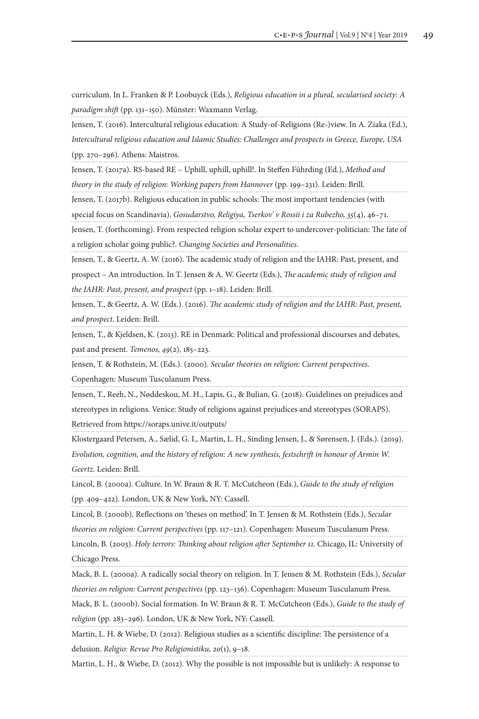curriculum. In L. Franken & P. Loobuyck (Eds.), *Religious education in a plural, secularised society: A paradigm shift* (pp. 131–150). Münster: Waxmann Verlag.

Jensen, T. (2016). Intercultural religious education: A Study-of-Religions (Re-)view. In A. Ziaka (Ed.), *Intercultural religious education and Islamic Studies: Challenges and prospects in Greece, Europe, USA*  (pp. 270–296). Athens: Maistros.

Jensen, T. (2017a). RS-based RE – Uphill, uphill, uphill!. In Steffen Führding (Ed.), *Method and*  theory in the study of religion: Working papers from Hannover (pp. 199-231). Leiden: Brill.

Jensen, T. (2017b). Religious education in public schools: The most important tendencies (with

special focus on Scandinavia). *Gosudarstvo, Religiya, Tserkov' v Rossii i za Rubezho, 35*(4), 46–71.

Jensen, T. (forthcoming). From respected religion scholar expert to undercover-politician: The fate of a religion scholar going public?. *Changing Societies and Personalities*.

Jensen, T., & Geertz, A. W. (2016). The academic study of religion and the IAHR: Past, present, and

prospect – An introduction. In T. Jensen & A. W. Geertz (Eds.), *The academic study of religion and the IAHR: Past, present, and prospect* (pp. 1–18). Leiden: Brill.

Jensen, T., & Geertz, A. W. (Eds.). (2016). *The academic study of religion and the IAHR: Past, present, and prospect*. Leiden: Brill.

Jensen, T., & Kjeldsen, K. (2013). RE in Denmark: Political and professional discourses and debates, past and present. *Temenos, 49*(2), 185–223.

Jensen, T. & Rothstein, M. (Eds.). (2000). *Secular theories on religion: Current perspectives*.

Copenhagen: Museum Tusculanum Press.

Jensen, T., Reeh, N., Nøddeskou, M. H., Lapis, G., & Bulian, G. (2018). Guidelines on prejudices and stereotypes in religions. Venice: Study of religions against prejudices and stereotypes (SORAPS). Retrieved from https://soraps.unive.it/outputs/

Klostergaard Petersen, A., Sælid, G. I., Martin, L. H., Sinding Jensen, J., & Sørensen, J. (Eds.). (2019).

*Evolution, cognition, and the history of religion: A new synthesis, festschrift in honour of Armin W. Geertz*. Leiden: Brill.

Lincol, B. (2000a). Culture. In W. Braun & R. T. McCutcheon (Eds.), *Guide to the study of religion* (pp. 409–422). London, UK & New York, NY: Cassell.

Lincol, B. (2000b). Reflections on 'theses on method'. In T. Jensen & M. Rothstein (Eds.), *Secular* 

*theories on religion: Current perspectives* (pp. 117–121). Copenhagen: Museum Tusculanum Press.

Lincoln, B. (2003). *Holy terrors: Thinking about religion after September 11.* Chicago, IL: University of Chicago Press.

Mack, B. L. (2000a). A radically social theory on religion. In T. Jensen & M. Rothstein (Eds.), *Secular* 

*theories on religion: Current perspectives* (pp. 123–136). Copenhagen: Museum Tusculanum Press. Mack, B. L. (2000b). Social formation. In W. Braun & R. T. McCutcheon (Eds.), *Guide to the study of* 

*religion* (pp. 283–296). London, UK & New York, NY: Cassell.

Martin, L. H. & Wiebe, D. (2012). Religious studies as a scientific discipline: The persistence of a delusion. *Religio: Revue Pro Religionistiku, 20*(1), 9–18.

Martin, L. H., & Wiebe, D. (2012). Why the possible is not impossible but is unlikely: A response to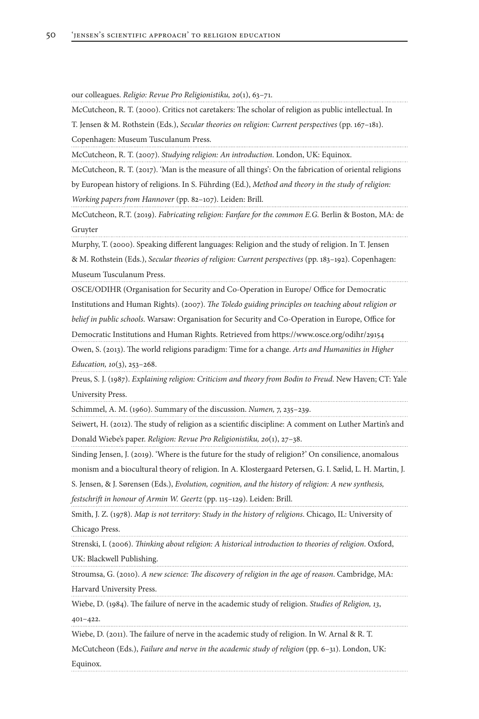our colleagues. *Religio: Revue Pro Religionistiku, 20*(1), 63–71.

McCutcheon, R. T. (2000). Critics not caretakers: The scholar of religion as public intellectual. In

T. Jensen & M. Rothstein (Eds.), *Secular theories on religion: Current perspectives* (pp. 167–181). Copenhagen: Museum Tusculanum Press.

McCutcheon, R. T. (2007). *Studying religion: An introduction*. London, UK: Equinox.

McCutcheon, R. T. (2017). 'Man is the measure of all things': On the fabrication of oriental religions by European history of religions. In S. Führding (Ed.), *Method and theory in the study of religion:* 

*Working papers from Hannover* (pp. 82–107). Leiden: Brill.

McCutcheon, R.T. (2019). *Fabricating religion: Fanfare for the common E.G.* Berlin & Boston, MA: de Gruyter

Murphy, T. (2000). Speaking different languages: Religion and the study of religion. In T. Jensen

& M. Rothstein (Eds.), *Secular theories of religion: Current perspectives* (pp. 183–192). Copenhagen: Museum Tusculanum Press.

OSCE/ODIHR (Organisation for Security and Co-Operation in Europe/ Office for Democratic Institutions and Human Rights). (2007). *The Toledo guiding principles on teaching about religion or belief in public schools*. Warsaw: Organisation for Security and Co-Operation in Europe, Office for

Democratic Institutions and Human Rights. Retrieved from https://www.osce.org/odihr/29154

Owen, S. (2013). The world religions paradigm: Time for a change. *Arts and Humanities in Higher Education, 10*(3), 253–268.

Preus, S. J. (1987). *Explaining religion: Criticism and theory from Bodin to Freud*. New Haven; CT: Yale University Press.

Schimmel, A. M. (1960). Summary of the discussion. *Numen,* 7, 235–239.

Seiwert, H. (2012). The study of religion as a scientific discipline: A comment on Luther Martin's and Donald Wiebe's paper. *Religion: Revue Pro Religionistiku, 20*(1), 27–38.

Sinding Jensen, J. (2019). 'Where is the future for the study of religion?' On consilience, anomalous

monism and a biocultural theory of religion. In A. Klostergaard Petersen, G. I. Sælid, L. H. Martin, J.

S. Jensen, & J. Sørensen (Eds.), *Evolution, cognition, and the history of religion: A new synthesis,* 

*festschrift in honour of Armin W. Geertz* (pp. 115–129). Leiden: Brill.

Smith, J. Z. (1978). *Map is not territory: Study in the history of religions*. Chicago, IL: University of Chicago Press.

Strenski, I. (2006). *Thinking about religion: A historical introduction to theories of religion*. Oxford,

UK: Blackwell Publishing.

Stroumsa, G. (2010). *A new science: The discovery of religion in the age of reason*. Cambridge, MA: Harvard University Press.

Wiebe, D. (1984). The failure of nerve in the academic study of religion. *Studies of Religion, 13*,

401–422.

Wiebe, D. (2011). The failure of nerve in the academic study of religion. In W. Arnal & R. T.

McCutcheon (Eds.), *Failure and nerve in the academic study of religion* (pp. 6–31). London, UK: Equinox.